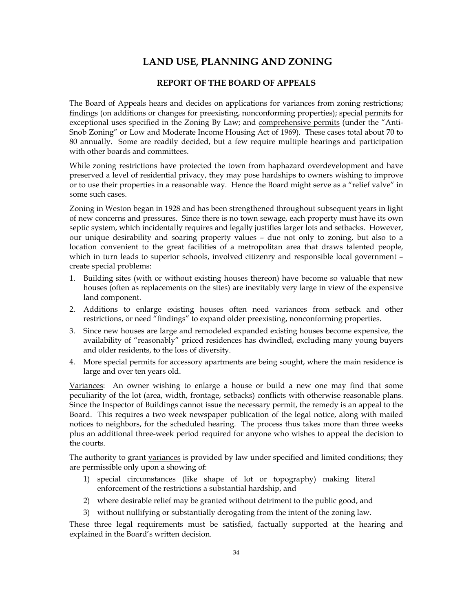# **LAND USE, PLANNING AND ZONING**

## **REPORT OF THE BOARD OF APPEALS**

The Board of Appeals hears and decides on applications for variances from zoning restrictions; findings (on additions or changes for preexisting, nonconforming properties); special permits for exceptional uses specified in the Zoning By Law; and comprehensive permits (under the "Anti-Snob Zoning" or Low and Moderate Income Housing Act of 1969). These cases total about 70 to 80 annually. Some are readily decided, but a few require multiple hearings and participation with other boards and committees.

While zoning restrictions have protected the town from haphazard overdevelopment and have preserved a level of residential privacy, they may pose hardships to owners wishing to improve or to use their properties in a reasonable way. Hence the Board might serve as a "relief valve" in some such cases.

Zoning in Weston began in 1928 and has been strengthened throughout subsequent years in light of new concerns and pressures. Since there is no town sewage, each property must have its own septic system, which incidentally requires and legally justifies larger lots and setbacks. However, our unique desirability and soaring property values – due not only to zoning, but also to a location convenient to the great facilities of a metropolitan area that draws talented people, which in turn leads to superior schools, involved citizenry and responsible local government – create special problems:

- 1. Building sites (with or without existing houses thereon) have become so valuable that new houses (often as replacements on the sites) are inevitably very large in view of the expensive land component.
- 2. Additions to enlarge existing houses often need variances from setback and other restrictions, or need "findings" to expand older preexisting, nonconforming properties.
- 3. Since new houses are large and remodeled expanded existing houses become expensive, the availability of "reasonably" priced residences has dwindled, excluding many young buyers and older residents, to the loss of diversity.
- 4. More special permits for accessory apartments are being sought, where the main residence is large and over ten years old.

Variances: An owner wishing to enlarge a house or build a new one may find that some peculiarity of the lot (area, width, frontage, setbacks) conflicts with otherwise reasonable plans. Since the Inspector of Buildings cannot issue the necessary permit, the remedy is an appeal to the Board. This requires a two week newspaper publication of the legal notice, along with mailed notices to neighbors, for the scheduled hearing. The process thus takes more than three weeks plus an additional three-week period required for anyone who wishes to appeal the decision to the courts.

The authority to grant variances is provided by law under specified and limited conditions; they are permissible only upon a showing of:

- 1) special circumstances (like shape of lot or topography) making literal enforcement of the restrictions a substantial hardship, and
- 2) where desirable relief may be granted without detriment to the public good, and
- 3) without nullifying or substantially derogating from the intent of the zoning law.

These three legal requirements must be satisfied, factually supported at the hearing and explained in the Board's written decision.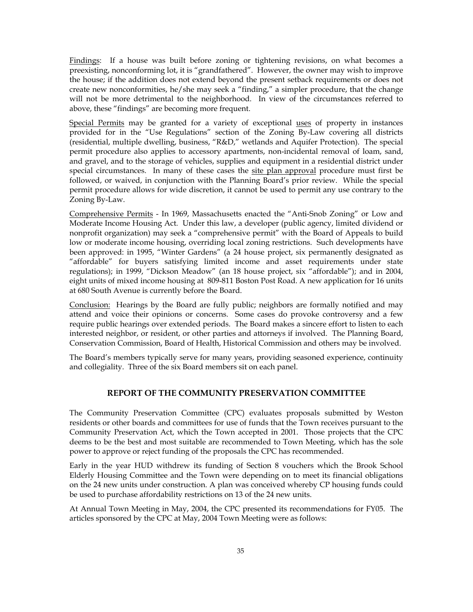Findings: If a house was built before zoning or tightening revisions, on what becomes a preexisting, nonconforming lot, it is "grandfathered". However, the owner may wish to improve the house; if the addition does not extend beyond the present setback requirements or does not create new nonconformities, he/she may seek a "finding," a simpler procedure, that the change will not be more detrimental to the neighborhood. In view of the circumstances referred to above, these "findings" are becoming more frequent.

Special Permits may be granted for a variety of exceptional uses of property in instances provided for in the "Use Regulations" section of the Zoning By-Law covering all districts (residential, multiple dwelling, business, "R&D," wetlands and Aquifer Protection). The special permit procedure also applies to accessory apartments, non-incidental removal of loam, sand, and gravel, and to the storage of vehicles, supplies and equipment in a residential district under special circumstances. In many of these cases the site plan approval procedure must first be followed, or waived, in conjunction with the Planning Board's prior review. While the special permit procedure allows for wide discretion, it cannot be used to permit any use contrary to the Zoning By-Law.

Comprehensive Permits - In 1969, Massachusetts enacted the "Anti-Snob Zoning" or Low and Moderate Income Housing Act. Under this law, a developer (public agency, limited dividend or nonprofit organization) may seek a "comprehensive permit" with the Board of Appeals to build low or moderate income housing, overriding local zoning restrictions. Such developments have been approved: in 1995, "Winter Gardens" (a 24 house project, six permanently designated as "affordable" for buyers satisfying limited income and asset requirements under state regulations); in 1999, "Dickson Meadow" (an 18 house project, six "affordable"); and in 2004, eight units of mixed income housing at 809-811 Boston Post Road. A new application for 16 units at 680 South Avenue is currently before the Board.

Conclusion: Hearings by the Board are fully public; neighbors are formally notified and may attend and voice their opinions or concerns. Some cases do provoke controversy and a few require public hearings over extended periods. The Board makes a sincere effort to listen to each interested neighbor, or resident, or other parties and attorneys if involved. The Planning Board, Conservation Commission, Board of Health, Historical Commission and others may be involved.

The Board's members typically serve for many years, providing seasoned experience, continuity and collegiality. Three of the six Board members sit on each panel.

## **REPORT OF THE COMMUNITY PRESERVATION COMMITTEE**

The Community Preservation Committee (CPC) evaluates proposals submitted by Weston residents or other boards and committees for use of funds that the Town receives pursuant to the Community Preservation Act, which the Town accepted in 2001. Those projects that the CPC deems to be the best and most suitable are recommended to Town Meeting, which has the sole power to approve or reject funding of the proposals the CPC has recommended.

Early in the year HUD withdrew its funding of Section 8 vouchers which the Brook School Elderly Housing Committee and the Town were depending on to meet its financial obligations on the 24 new units under construction. A plan was conceived whereby CP housing funds could be used to purchase affordability restrictions on 13 of the 24 new units.

At Annual Town Meeting in May, 2004, the CPC presented its recommendations for FY05. The articles sponsored by the CPC at May, 2004 Town Meeting were as follows: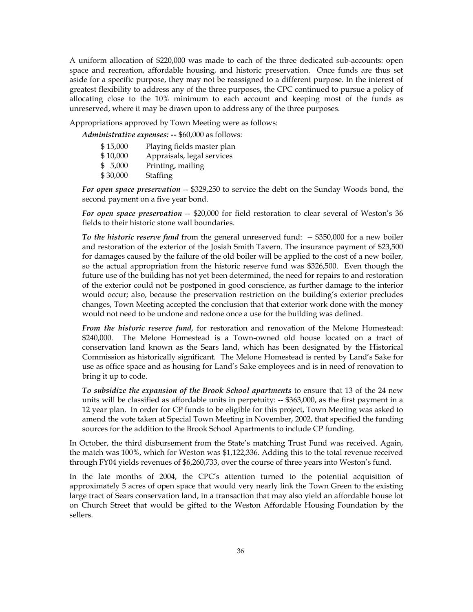A uniform allocation of \$220,000 was made to each of the three dedicated sub-accounts: open space and recreation, affordable housing, and historic preservation. Once funds are thus set aside for a specific purpose, they may not be reassigned to a different purpose. In the interest of greatest flexibility to address any of the three purposes, the CPC continued to pursue a policy of allocating close to the 10% minimum to each account and keeping most of the funds as unreserved, where it may be drawn upon to address any of the three purposes.

Appropriations approved by Town Meeting were as follows:

*Administrative expenses: --* \$60,000 as follows:

| \$15,000 | Playing fields master plan |
|----------|----------------------------|
| \$10,000 | Appraisals, legal services |
| \$5,000  | Printing, mailing          |
| \$30,000 | <b>Staffing</b>            |

*For open space preservation* -- \$329,250 to service the debt on the Sunday Woods bond, the second payment on a five year bond.

*For open space preservation* -- \$20,000 for field restoration to clear several of Weston's 36 fields to their historic stone wall boundaries.

*To the historic reserve fund* from the general unreserved fund: -- \$350,000 for a new boiler and restoration of the exterior of the Josiah Smith Tavern. The insurance payment of \$23,500 for damages caused by the failure of the old boiler will be applied to the cost of a new boiler, so the actual appropriation from the historic reserve fund was \$326,500. Even though the future use of the building has not yet been determined, the need for repairs to and restoration of the exterior could not be postponed in good conscience, as further damage to the interior would occur; also, because the preservation restriction on the building's exterior precludes changes, Town Meeting accepted the conclusion that that exterior work done with the money would not need to be undone and redone once a use for the building was defined.

*From the historic reserve fund*, for restoration and renovation of the Melone Homestead: \$240,000. The Melone Homestead is a Town-owned old house located on a tract of conservation land known as the Sears land, which has been designated by the Historical Commission as historically significant. The Melone Homestead is rented by Land's Sake for use as office space and as housing for Land's Sake employees and is in need of renovation to bring it up to code.

*To subsidize the expansion of the Brook School apartments* to ensure that 13 of the 24 new units will be classified as affordable units in perpetuity: -- \$363,000, as the first payment in a 12 year plan. In order for CP funds to be eligible for this project, Town Meeting was asked to amend the vote taken at Special Town Meeting in November, 2002, that specified the funding sources for the addition to the Brook School Apartments to include CP funding.

In October, the third disbursement from the State's matching Trust Fund was received. Again, the match was 100%, which for Weston was \$1,122,336. Adding this to the total revenue received through FY04 yields revenues of \$6,260,733, over the course of three years into Weston's fund.

In the late months of 2004, the CPC's attention turned to the potential acquisition of approximately 5 acres of open space that would very nearly link the Town Green to the existing large tract of Sears conservation land, in a transaction that may also yield an affordable house lot on Church Street that would be gifted to the Weston Affordable Housing Foundation by the sellers.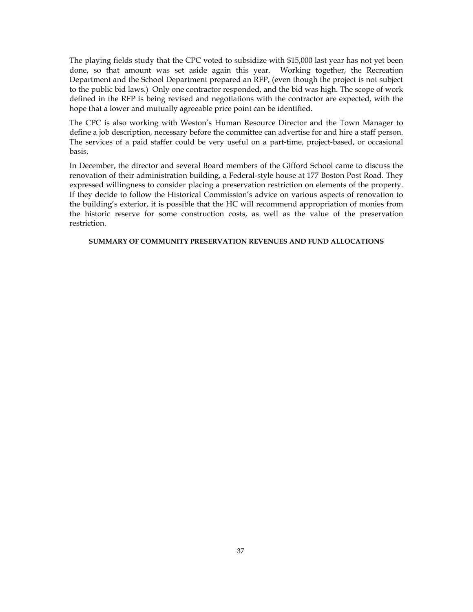The playing fields study that the CPC voted to subsidize with \$15,000 last year has not yet been done, so that amount was set aside again this year. Working together, the Recreation Department and the School Department prepared an RFP, (even though the project is not subject to the public bid laws.) Only one contractor responded, and the bid was high. The scope of work defined in the RFP is being revised and negotiations with the contractor are expected, with the hope that a lower and mutually agreeable price point can be identified.

The CPC is also working with Weston's Human Resource Director and the Town Manager to define a job description, necessary before the committee can advertise for and hire a staff person. The services of a paid staffer could be very useful on a part-time, project-based, or occasional basis.

In December, the director and several Board members of the Gifford School came to discuss the renovation of their administration building, a Federal-style house at 177 Boston Post Road. They expressed willingness to consider placing a preservation restriction on elements of the property. If they decide to follow the Historical Commission's advice on various aspects of renovation to the building's exterior, it is possible that the HC will recommend appropriation of monies from the historic reserve for some construction costs, as well as the value of the preservation restriction.

## **SUMMARY OF COMMUNITY PRESERVATION REVENUES AND FUND ALLOCATIONS**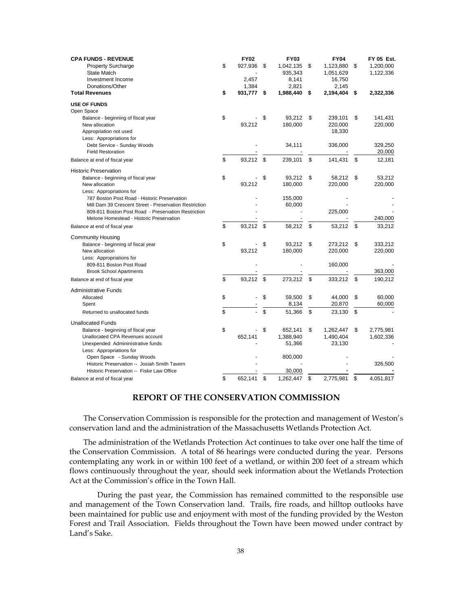| <b>CPA FUNDS - REVENUE</b><br><b>Property Surcharge</b><br><b>State Match</b><br>Investment Income     | \$<br><b>FY02</b><br>927,936<br>2.457 | \$<br><b>FY03</b><br>1,042,135<br>935,343<br>8,141 | \$<br><b>FY04</b><br>1,123,880<br>1,051,629<br>16,750 | \$<br><b>FY 05 Est.</b><br>1,200,000<br>1,122,336 |
|--------------------------------------------------------------------------------------------------------|---------------------------------------|----------------------------------------------------|-------------------------------------------------------|---------------------------------------------------|
| Donations/Other<br><b>Total Revenues</b>                                                               | \$<br>1,384<br>931,777                | \$<br>2,821<br>1,988,440                           | \$<br>2,145<br>2,194,404                              | \$<br>2,322,336                                   |
| <b>USE OF FUNDS</b>                                                                                    |                                       |                                                    |                                                       |                                                   |
| Open Space                                                                                             |                                       |                                                    |                                                       |                                                   |
| Balance - beginning of fiscal year                                                                     | \$                                    | \$<br>93,212                                       | \$<br>239,101                                         | \$<br>141,431                                     |
| New allocation<br>Appropriation not used                                                               | 93,212                                | 180,000                                            | 220,000<br>18,330                                     | 220,000                                           |
| Less: Appropriations for                                                                               |                                       |                                                    |                                                       |                                                   |
| Debt Service - Sunday Woods                                                                            |                                       | 34,111                                             | 336,000                                               | 329,250                                           |
| <b>Field Restoration</b>                                                                               |                                       |                                                    |                                                       | 20,000                                            |
| Balance at end of fiscal year                                                                          | \$<br>93,212                          | \$<br>239,101                                      | \$<br>141,431                                         | \$<br>12,181                                      |
| <b>Historic Preservation</b>                                                                           |                                       |                                                    |                                                       |                                                   |
| Balance - beginning of fiscal year                                                                     | \$                                    | \$<br>93,212                                       | \$<br>58,212                                          | \$<br>53,212                                      |
| New allocation                                                                                         | 93,212                                | 180,000                                            | 220,000                                               | 220,000                                           |
| Less: Appropriations for                                                                               |                                       |                                                    |                                                       |                                                   |
| 787 Boston Post Road - Historic Preservation<br>Mill Dam 39 Crescent Street - Preservation Restriction |                                       | 155,000<br>60,000                                  |                                                       |                                                   |
| 809-811 Boston Post Road - Preservation Restriction                                                    |                                       |                                                    | 225,000                                               |                                                   |
| Melone Homestead - Historic Preservation                                                               |                                       |                                                    |                                                       | 240,000                                           |
| Balance at end of fiscal year                                                                          | \$<br>93,212                          | \$<br>58,212                                       | \$<br>53,212                                          | \$<br>33,212                                      |
| <b>Community Housing</b>                                                                               |                                       |                                                    |                                                       |                                                   |
| Balance - beginning of fiscal year                                                                     | \$                                    | \$<br>93,212                                       | \$<br>273,212                                         | \$<br>333,212                                     |
| New allocation                                                                                         | 93,212                                | 180,000                                            | 220,000                                               | 220,000                                           |
| Less: Appropriations for                                                                               |                                       |                                                    |                                                       |                                                   |
| 809-811 Boston Post Road                                                                               |                                       |                                                    | 160,000                                               | 363,000                                           |
| <b>Brook School Apartments</b><br>Balance at end of fiscal year                                        | \$<br>93,212                          | \$<br>273,212                                      | \$<br>333,212                                         | \$<br>190,212                                     |
|                                                                                                        |                                       |                                                    |                                                       |                                                   |
| <b>Administrative Funds</b>                                                                            |                                       |                                                    |                                                       |                                                   |
| Allocated                                                                                              | \$                                    | \$<br>59,500                                       | \$<br>44,000                                          | \$<br>60,000                                      |
| Spent                                                                                                  |                                       | 8,134                                              | 20,870                                                | 60,000                                            |
| Returned to unallocated funds                                                                          | \$                                    | \$<br>51,366                                       | \$<br>23,130                                          | \$                                                |
| <b>Unallocated Funds</b>                                                                               |                                       |                                                    |                                                       |                                                   |
| Balance - beginning of fiscal year                                                                     | \$                                    | \$<br>652,141                                      | \$<br>1,262,447                                       | \$<br>2,775,981                                   |
| Unallocated CPA Revenues account<br>Unexpended Admininistrative funds                                  | 652,141                               | 1,388,940<br>51,366                                | 1,490,404<br>23,130                                   | 1,602,336                                         |
| Less: Appropriations for                                                                               |                                       |                                                    |                                                       |                                                   |
| Open Space - Sunday Woods                                                                              |                                       | 800,000                                            |                                                       |                                                   |
| Historic Preservation -- Josiah Smith Tavern                                                           |                                       |                                                    |                                                       | 326,500                                           |
| Historic Preservation -- Fiske Law Office                                                              |                                       | 30,000                                             |                                                       |                                                   |
| Balance at end of fiscal year                                                                          | \$<br>652,141                         | \$<br>1,262,447                                    | \$<br>2,775,981                                       | \$<br>4,051,817                                   |

## **REPORT OF THE CONSERVATION COMMISSION**

 The Conservation Commission is responsible for the protection and management of Weston's conservation land and the administration of the Massachusetts Wetlands Protection Act.

 The administration of the Wetlands Protection Act continues to take over one half the time of the Conservation Commission. A total of 86 hearings were conducted during the year. Persons contemplating any work in or within 100 feet of a wetland, or within 200 feet of a stream which flows continuously throughout the year, should seek information about the Wetlands Protection Act at the Commission's office in the Town Hall.

During the past year, the Commission has remained committed to the responsible use and management of the Town Conservation land. Trails, fire roads, and hilltop outlooks have been maintained for public use and enjoyment with most of the funding provided by the Weston Forest and Trail Association. Fields throughout the Town have been mowed under contract by Land's Sake.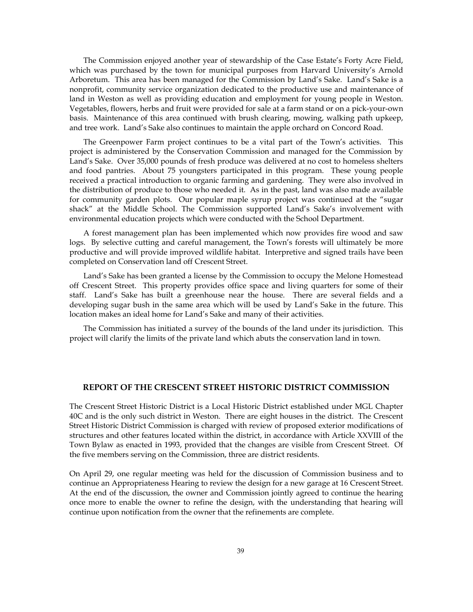The Commission enjoyed another year of stewardship of the Case Estate's Forty Acre Field, which was purchased by the town for municipal purposes from Harvard University's Arnold Arboretum. This area has been managed for the Commission by Land's Sake. Land's Sake is a nonprofit, community service organization dedicated to the productive use and maintenance of land in Weston as well as providing education and employment for young people in Weston. Vegetables, flowers, herbs and fruit were provided for sale at a farm stand or on a pick-your-own basis. Maintenance of this area continued with brush clearing, mowing, walking path upkeep, and tree work. Land's Sake also continues to maintain the apple orchard on Concord Road.

 The Greenpower Farm project continues to be a vital part of the Town's activities. This project is administered by the Conservation Commission and managed for the Commission by Land's Sake. Over 35,000 pounds of fresh produce was delivered at no cost to homeless shelters and food pantries. About 75 youngsters participated in this program. These young people received a practical introduction to organic farming and gardening. They were also involved in the distribution of produce to those who needed it. As in the past, land was also made available for community garden plots. Our popular maple syrup project was continued at the "sugar shack" at the Middle School. The Commission supported Land's Sake's involvement with environmental education projects which were conducted with the School Department.

 A forest management plan has been implemented which now provides fire wood and saw logs. By selective cutting and careful management, the Town's forests will ultimately be more productive and will provide improved wildlife habitat. Interpretive and signed trails have been completed on Conservation land off Crescent Street.

 Land's Sake has been granted a license by the Commission to occupy the Melone Homestead off Crescent Street. This property provides office space and living quarters for some of their staff. Land's Sake has built a greenhouse near the house. There are several fields and a developing sugar bush in the same area which will be used by Land's Sake in the future. This location makes an ideal home for Land's Sake and many of their activities.

 The Commission has initiated a survey of the bounds of the land under its jurisdiction. This project will clarify the limits of the private land which abuts the conservation land in town.

## **REPORT OF THE CRESCENT STREET HISTORIC DISTRICT COMMISSION**

The Crescent Street Historic District is a Local Historic District established under MGL Chapter 40C and is the only such district in Weston. There are eight houses in the district. The Crescent Street Historic District Commission is charged with review of proposed exterior modifications of structures and other features located within the district, in accordance with Article XXVIII of the Town Bylaw as enacted in 1993, provided that the changes are visible from Crescent Street. Of the five members serving on the Commission, three are district residents.

On April 29, one regular meeting was held for the discussion of Commission business and to continue an Appropriateness Hearing to review the design for a new garage at 16 Crescent Street. At the end of the discussion, the owner and Commission jointly agreed to continue the hearing once more to enable the owner to refine the design, with the understanding that hearing will continue upon notification from the owner that the refinements are complete.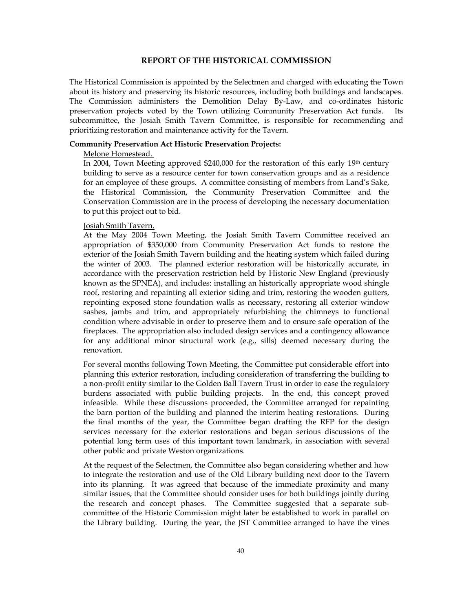## **REPORT OF THE HISTORICAL COMMISSION**

The Historical Commission is appointed by the Selectmen and charged with educating the Town about its history and preserving its historic resources, including both buildings and landscapes. The Commission administers the Demolition Delay By-Law, and co-ordinates historic preservation projects voted by the Town utilizing Community Preservation Act funds. Its subcommittee, the Josiah Smith Tavern Committee, is responsible for recommending and prioritizing restoration and maintenance activity for the Tavern.

## **Community Preservation Act Historic Preservation Projects:**

### Melone Homestead.

In 2004, Town Meeting approved  $$240,000$  for the restoration of this early 19<sup>th</sup> century building to serve as a resource center for town conservation groups and as a residence for an employee of these groups. A committee consisting of members from Land's Sake, the Historical Commission, the Community Preservation Committee and the Conservation Commission are in the process of developing the necessary documentation to put this project out to bid.

#### Josiah Smith Tavern.

At the May 2004 Town Meeting, the Josiah Smith Tavern Committee received an appropriation of \$350,000 from Community Preservation Act funds to restore the exterior of the Josiah Smith Tavern building and the heating system which failed during the winter of 2003. The planned exterior restoration will be historically accurate, in accordance with the preservation restriction held by Historic New England (previously known as the SPNEA), and includes: installing an historically appropriate wood shingle roof, restoring and repainting all exterior siding and trim, restoring the wooden gutters, repointing exposed stone foundation walls as necessary, restoring all exterior window sashes, jambs and trim, and appropriately refurbishing the chimneys to functional condition where advisable in order to preserve them and to ensure safe operation of the fireplaces. The appropriation also included design services and a contingency allowance for any additional minor structural work (e.g., sills) deemed necessary during the renovation.

For several months following Town Meeting, the Committee put considerable effort into planning this exterior restoration, including consideration of transferring the building to a non-profit entity similar to the Golden Ball Tavern Trust in order to ease the regulatory burdens associated with public building projects. In the end, this concept proved infeasible. While these discussions proceeded, the Committee arranged for repainting the barn portion of the building and planned the interim heating restorations. During the final months of the year, the Committee began drafting the RFP for the design services necessary for the exterior restorations and began serious discussions of the potential long term uses of this important town landmark, in association with several other public and private Weston organizations.

At the request of the Selectmen, the Committee also began considering whether and how to integrate the restoration and use of the Old Library building next door to the Tavern into its planning. It was agreed that because of the immediate proximity and many similar issues, that the Committee should consider uses for both buildings jointly during the research and concept phases. The Committee suggested that a separate subcommittee of the Historic Commission might later be established to work in parallel on the Library building. During the year, the JST Committee arranged to have the vines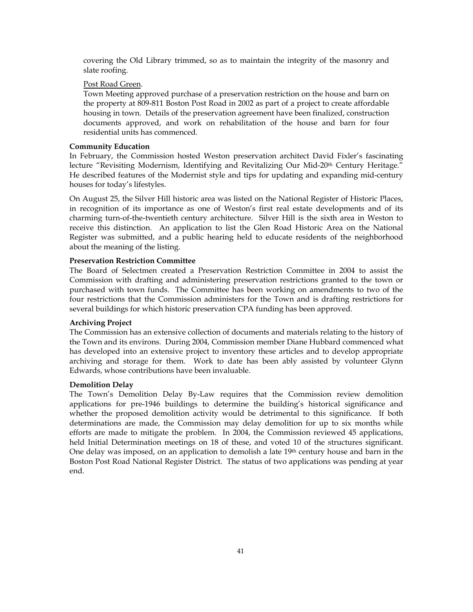covering the Old Library trimmed, so as to maintain the integrity of the masonry and slate roofing.

## Post Road Green.

Town Meeting approved purchase of a preservation restriction on the house and barn on the property at 809-811 Boston Post Road in 2002 as part of a project to create affordable housing in town. Details of the preservation agreement have been finalized, construction documents approved, and work on rehabilitation of the house and barn for four residential units has commenced.

### **Community Education**

In February, the Commission hosted Weston preservation architect David Fixler's fascinating lecture "Revisiting Modernism, Identifying and Revitalizing Our Mid-20th Century Heritage." He described features of the Modernist style and tips for updating and expanding mid-century houses for today's lifestyles.

On August 25, the Silver Hill historic area was listed on the National Register of Historic Places, in recognition of its importance as one of Weston's first real estate developments and of its charming turn-of-the-twentieth century architecture. Silver Hill is the sixth area in Weston to receive this distinction. An application to list the Glen Road Historic Area on the National Register was submitted, and a public hearing held to educate residents of the neighborhood about the meaning of the listing.

### **Preservation Restriction Committee**

The Board of Selectmen created a Preservation Restriction Committee in 2004 to assist the Commission with drafting and administering preservation restrictions granted to the town or purchased with town funds. The Committee has been working on amendments to two of the four restrictions that the Commission administers for the Town and is drafting restrictions for several buildings for which historic preservation CPA funding has been approved.

## **Archiving Project**

The Commission has an extensive collection of documents and materials relating to the history of the Town and its environs. During 2004, Commission member Diane Hubbard commenced what has developed into an extensive project to inventory these articles and to develop appropriate archiving and storage for them. Work to date has been ably assisted by volunteer Glynn Edwards, whose contributions have been invaluable.

### **Demolition Delay**

The Town's Demolition Delay By-Law requires that the Commission review demolition applications for pre-1946 buildings to determine the building's historical significance and whether the proposed demolition activity would be detrimental to this significance. If both determinations are made, the Commission may delay demolition for up to six months while efforts are made to mitigate the problem. In 2004, the Commission reviewed 45 applications, held Initial Determination meetings on 18 of these, and voted 10 of the structures significant. One delay was imposed, on an application to demolish a late  $19<sup>th</sup>$  century house and barn in the Boston Post Road National Register District. The status of two applications was pending at year end.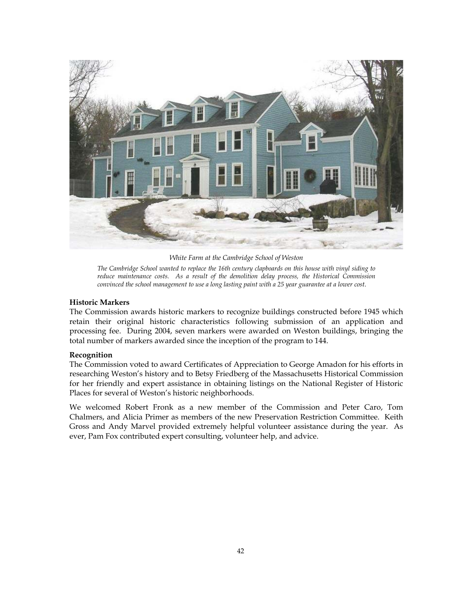

*White Farm at the Cambridge School of Weston* 

*The Cambridge School wanted to replace the 16th century clapboards on this house with vinyl siding to reduce maintenance costs. As a result of the demolition delay process, the Historical Commission convinced the school management to use a long lasting paint with a 25 year guarantee at a lower cost*.

## **Historic Markers**

The Commission awards historic markers to recognize buildings constructed before 1945 which retain their original historic characteristics following submission of an application and processing fee. During 2004, seven markers were awarded on Weston buildings, bringing the total number of markers awarded since the inception of the program to 144.

## **Recognition**

The Commission voted to award Certificates of Appreciation to George Amadon for his efforts in researching Weston's history and to Betsy Friedberg of the Massachusetts Historical Commission for her friendly and expert assistance in obtaining listings on the National Register of Historic Places for several of Weston's historic neighborhoods.

We welcomed Robert Fronk as a new member of the Commission and Peter Caro, Tom Chalmers, and Alicia Primer as members of the new Preservation Restriction Committee. Keith Gross and Andy Marvel provided extremely helpful volunteer assistance during the year. As ever, Pam Fox contributed expert consulting, volunteer help, and advice.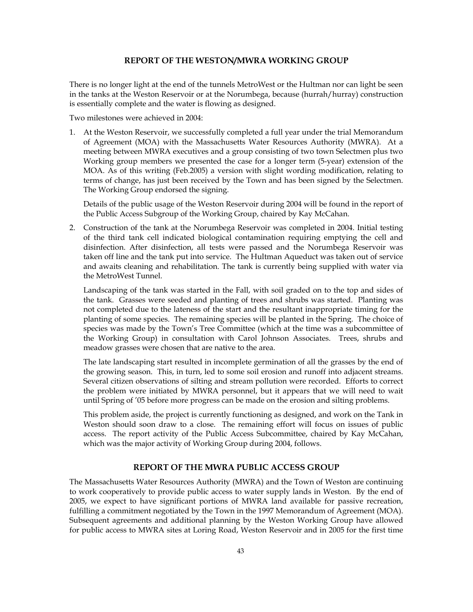## **REPORT OF THE WESTON/MWRA WORKING GROUP**

There is no longer light at the end of the tunnels MetroWest or the Hultman nor can light be seen in the tanks at the Weston Reservoir or at the Norumbega, because (hurrah/hurray) construction is essentially complete and the water is flowing as designed.

Two milestones were achieved in 2004:

1. At the Weston Reservoir, we successfully completed a full year under the trial Memorandum of Agreement (MOA) with the Massachusetts Water Resources Authority (MWRA). At a meeting between MWRA executives and a group consisting of two town Selectmen plus two Working group members we presented the case for a longer term (5-year) extension of the MOA. As of this writing (Feb.2005) a version with slight wording modification, relating to terms of change, has just been received by the Town and has been signed by the Selectmen. The Working Group endorsed the signing.

Details of the public usage of the Weston Reservoir during 2004 will be found in the report of the Public Access Subgroup of the Working Group, chaired by Kay McCahan.

2. Construction of the tank at the Norumbega Reservoir was completed in 2004. Initial testing of the third tank cell indicated biological contamination requiring emptying the cell and disinfection. After disinfection, all tests were passed and the Norumbega Reservoir was taken off line and the tank put into service. The Hultman Aqueduct was taken out of service and awaits cleaning and rehabilitation. The tank is currently being supplied with water via the MetroWest Tunnel.

Landscaping of the tank was started in the Fall, with soil graded on to the top and sides of the tank. Grasses were seeded and planting of trees and shrubs was started. Planting was not completed due to the lateness of the start and the resultant inappropriate timing for the planting of some species. The remaining species will be planted in the Spring. The choice of species was made by the Town's Tree Committee (which at the time was a subcommittee of the Working Group) in consultation with Carol Johnson Associates. Trees, shrubs and meadow grasses were chosen that are native to the area.

The late landscaping start resulted in incomplete germination of all the grasses by the end of the growing season. This, in turn, led to some soil erosion and runoff into adjacent streams. Several citizen observations of silting and stream pollution were recorded. Efforts to correct the problem were initiated by MWRA personnel, but it appears that we will need to wait until Spring of '05 before more progress can be made on the erosion and silting problems.

This problem aside, the project is currently functioning as designed, and work on the Tank in Weston should soon draw to a close. The remaining effort will focus on issues of public access. The report activity of the Public Access Subcommittee, chaired by Kay McCahan, which was the major activity of Working Group during 2004, follows.

## **REPORT OF THE MWRA PUBLIC ACCESS GROUP**

The Massachusetts Water Resources Authority (MWRA) and the Town of Weston are continuing to work cooperatively to provide public access to water supply lands in Weston. By the end of 2005, we expect to have significant portions of MWRA land available for passive recreation, fulfilling a commitment negotiated by the Town in the 1997 Memorandum of Agreement (MOA). Subsequent agreements and additional planning by the Weston Working Group have allowed for public access to MWRA sites at Loring Road, Weston Reservoir and in 2005 for the first time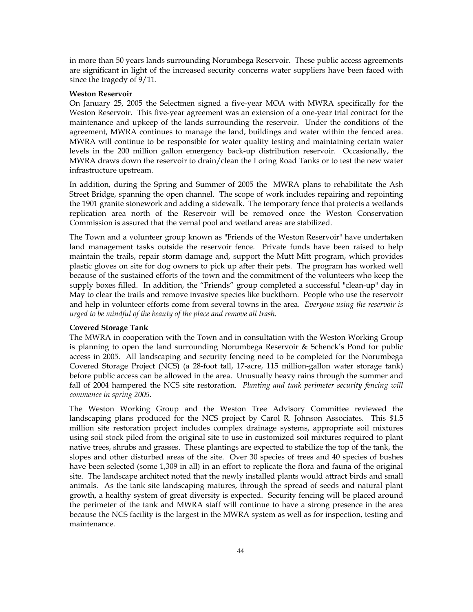in more than 50 years lands surrounding Norumbega Reservoir. These public access agreements are significant in light of the increased security concerns water suppliers have been faced with since the tragedy of 9/11.

### **Weston Reservoir**

On January 25, 2005 the Selectmen signed a five-year MOA with MWRA specifically for the Weston Reservoir. This five-year agreement was an extension of a one-year trial contract for the maintenance and upkeep of the lands surrounding the reservoir. Under the conditions of the agreement, MWRA continues to manage the land, buildings and water within the fenced area. MWRA will continue to be responsible for water quality testing and maintaining certain water levels in the 200 million gallon emergency back-up distribution reservoir. Occasionally, the MWRA draws down the reservoir to drain/clean the Loring Road Tanks or to test the new water infrastructure upstream.

In addition, during the Spring and Summer of 2005 the MWRA plans to rehabilitate the Ash Street Bridge, spanning the open channel. The scope of work includes repairing and repointing the 1901 granite stonework and adding a sidewalk. The temporary fence that protects a wetlands replication area north of the Reservoir will be removed once the Weston Conservation Commission is assured that the vernal pool and wetland areas are stabilized.

The Town and a volunteer group known as "Friends of the Weston Reservoir" have undertaken land management tasks outside the reservoir fence. Private funds have been raised to help maintain the trails, repair storm damage and, support the Mutt Mitt program, which provides plastic gloves on site for dog owners to pick up after their pets. The program has worked well because of the sustained efforts of the town and the commitment of the volunteers who keep the supply boxes filled. In addition, the "Friends" group completed a successful "clean-up" day in May to clear the trails and remove invasive species like buckthorn*.* People who use the reservoir and help in volunteer efforts come from several towns in the area. *Everyone using the reservoir is urged to be mindful of the beauty of the place and remove all trash.* 

### **Covered Storage Tank**

The MWRA in cooperation with the Town and in consultation with the Weston Working Group is planning to open the land surrounding Norumbega Reservoir & Schenck's Pond for public access in 2005. All landscaping and security fencing need to be completed for the Norumbega Covered Storage Project (NCS) (a 28-foot tall, 17-acre, 115 million-gallon water storage tank) before public access can be allowed in the area. Unusually heavy rains through the summer and fall of 2004 hampered the NCS site restoration. *Planting and tank perimeter security fencing will commence in spring 2005.* 

The Weston Working Group and the Weston Tree Advisory Committee reviewed the landscaping plans produced for the NCS project by Carol R. Johnson Associates. This \$1.5 million site restoration project includes complex drainage systems, appropriate soil mixtures using soil stock piled from the original site to use in customized soil mixtures required to plant native trees, shrubs and grasses. These plantings are expected to stabilize the top of the tank, the slopes and other disturbed areas of the site. Over 30 species of trees and 40 species of bushes have been selected (some 1,309 in all) in an effort to replicate the flora and fauna of the original site. The landscape architect noted that the newly installed plants would attract birds and small animals. As the tank site landscaping matures, through the spread of seeds and natural plant growth, a healthy system of great diversity is expected. Security fencing will be placed around the perimeter of the tank and MWRA staff will continue to have a strong presence in the area because the NCS facility is the largest in the MWRA system as well as for inspection, testing and maintenance.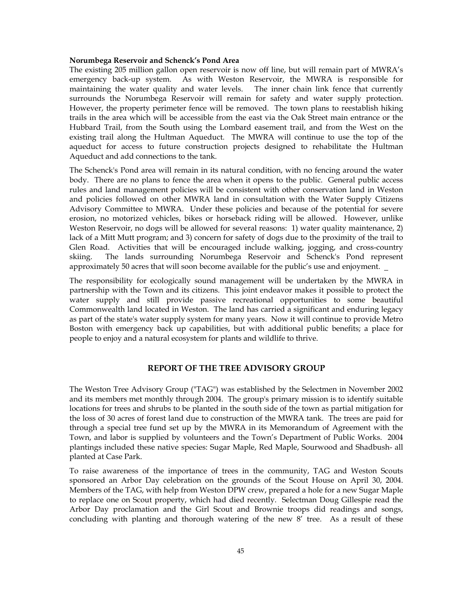### **Norumbega Reservoir and Schenck's Pond Area**

The existing 205 million gallon open reservoir is now off line, but will remain part of MWRA's emergency back-up system. As with Weston Reservoir, the MWRA is responsible for maintaining the water quality and water levels. The inner chain link fence that currently surrounds the Norumbega Reservoir will remain for safety and water supply protection. However, the property perimeter fence will be removed. The town plans to reestablish hiking trails in the area which will be accessible from the east via the Oak Street main entrance or the Hubbard Trail, from the South using the Lombard easement trail, and from the West on the existing trail along the Hultman Aqueduct. The MWRA will continue to use the top of the aqueduct for access to future construction projects designed to rehabilitate the Hultman Aqueduct and add connections to the tank.

The Schenck's Pond area will remain in its natural condition, with no fencing around the water body. There are no plans to fence the area when it opens to the public. General public access rules and land management policies will be consistent with other conservation land in Weston and policies followed on other MWRA land in consultation with the Water Supply Citizens Advisory Committee to MWRA. Under these policies and because of the potential for severe erosion, no motorized vehicles, bikes or horseback riding will be allowed. However, unlike Weston Reservoir, no dogs will be allowed for several reasons: 1) water quality maintenance, 2) lack of a Mitt Mutt program; and 3) concern for safety of dogs due to the proximity of the trail to Glen Road. Activities that will be encouraged include walking, jogging, and cross-country skiing. The lands surrounding Norumbega Reservoir and Schenck's Pond represent approximately 50 acres that will soon become available for the public's use and enjoyment.

The responsibility for ecologically sound management will be undertaken by the MWRA in partnership with the Town and its citizens. This joint endeavor makes it possible to protect the water supply and still provide passive recreational opportunities to some beautiful Commonwealth land located in Weston. The land has carried a significant and enduring legacy as part of the state's water supply system for many years. Now it will continue to provide Metro Boston with emergency back up capabilities, but with additional public benefits; a place for people to enjoy and a natural ecosystem for plants and wildlife to thrive.

## **REPORT OF THE TREE ADVISORY GROUP**

The Weston Tree Advisory Group ("TAG") was established by the Selectmen in November 2002 and its members met monthly through 2004. The group's primary mission is to identify suitable locations for trees and shrubs to be planted in the south side of the town as partial mitigation for the loss of 30 acres of forest land due to construction of the MWRA tank. The trees are paid for through a special tree fund set up by the MWRA in its Memorandum of Agreement with the Town, and labor is supplied by volunteers and the Town's Department of Public Works. 2004 plantings included these native species: Sugar Maple, Red Maple, Sourwood and Shadbush- all planted at Case Park.

To raise awareness of the importance of trees in the community, TAG and Weston Scouts sponsored an Arbor Day celebration on the grounds of the Scout House on April 30, 2004. Members of the TAG, with help from Weston DPW crew, prepared a hole for a new Sugar Maple to replace one on Scout property, which had died recently. Selectman Doug Gillespie read the Arbor Day proclamation and the Girl Scout and Brownie troops did readings and songs, concluding with planting and thorough watering of the new 8' tree. As a result of these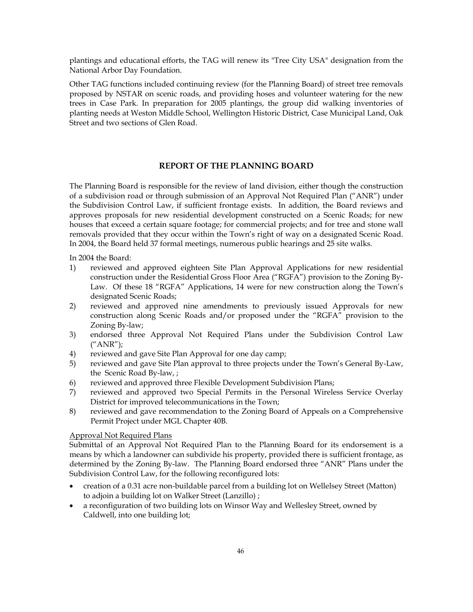plantings and educational efforts, the TAG will renew its "Tree City USA" designation from the National Arbor Day Foundation.

Other TAG functions included continuing review (for the Planning Board) of street tree removals proposed by NSTAR on scenic roads, and providing hoses and volunteer watering for the new trees in Case Park. In preparation for 2005 plantings, the group did walking inventories of planting needs at Weston Middle School, Wellington Historic District, Case Municipal Land, Oak Street and two sections of Glen Road.

## **REPORT OF THE PLANNING BOARD**

The Planning Board is responsible for the review of land division, either though the construction of a subdivision road or through submission of an Approval Not Required Plan ("ANR") under the Subdivision Control Law, if sufficient frontage exists. In addition, the Board reviews and approves proposals for new residential development constructed on a Scenic Roads; for new houses that exceed a certain square footage; for commercial projects; and for tree and stone wall removals provided that they occur within the Town's right of way on a designated Scenic Road. In 2004, the Board held 37 formal meetings, numerous public hearings and 25 site walks.

In 2004 the Board:

- 1) reviewed and approved eighteen Site Plan Approval Applications for new residential construction under the Residential Gross Floor Area ("RGFA") provision to the Zoning By-Law. Of these 18 "RGFA" Applications, 14 were for new construction along the Town's designated Scenic Roads;
- 2) reviewed and approved nine amendments to previously issued Approvals for new construction along Scenic Roads and/or proposed under the "RGFA" provision to the Zoning By-law;
- 3) endorsed three Approval Not Required Plans under the Subdivision Control Law ("ANR");
- 4) reviewed and gave Site Plan Approval for one day camp;
- 5) reviewed and gave Site Plan approval to three projects under the Town's General By-Law, the Scenic Road By-law, ;
- 6) reviewed and approved three Flexible Development Subdivision Plans;
- 7) reviewed and approved two Special Permits in the Personal Wireless Service Overlay District for improved telecommunications in the Town;
- 8) reviewed and gave recommendation to the Zoning Board of Appeals on a Comprehensive Permit Project under MGL Chapter 40B.

## Approval Not Required Plans

Submittal of an Approval Not Required Plan to the Planning Board for its endorsement is a means by which a landowner can subdivide his property, provided there is sufficient frontage, as determined by the Zoning By-law. The Planning Board endorsed three "ANR" Plans under the Subdivision Control Law, for the following reconfigured lots:

- creation of a 0.31 acre non-buildable parcel from a building lot on Wellelsey Street (Matton) to adjoin a building lot on Walker Street (Lanzillo) ;
- a reconfiguration of two building lots on Winsor Way and Wellesley Street, owned by Caldwell, into one building lot;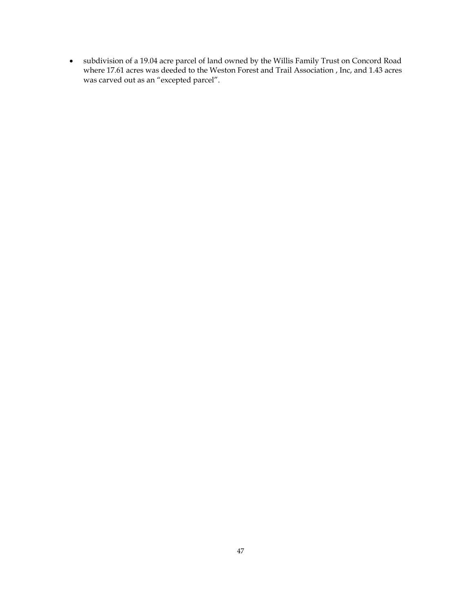• subdivision of a 19.04 acre parcel of land owned by the Willis Family Trust on Concord Road where 17.61 acres was deeded to the Weston Forest and Trail Association , Inc, and 1.43 acres was carved out as an "excepted parcel".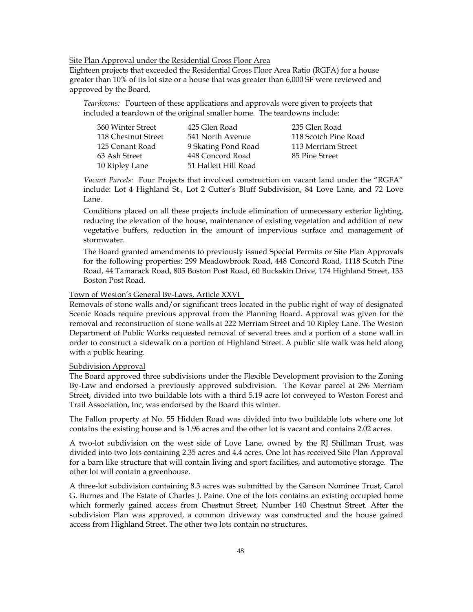Site Plan Approval under the Residential Gross Floor Area

Eighteen projects that exceeded the Residential Gross Floor Area Ratio (RGFA) for a house greater than 10% of its lot size or a house that was greater than 6,000 SF were reviewed and approved by the Board.

*Teardowns:* Fourteen of these applications and approvals were given to projects that included a teardown of the original smaller home. The teardowns include:

| 360 Winter Street   | 425 Glen Road        | 235 Glen Road        |
|---------------------|----------------------|----------------------|
| 118 Chestnut Street | 541 North Avenue     | 118 Scotch Pine Road |
| 125 Conant Road     | 9 Skating Pond Road  | 113 Merriam Street   |
| 63 Ash Street       | 448 Concord Road     | 85 Pine Street       |
| 10 Ripley Lane      | 51 Hallett Hill Road |                      |

*Vacant Parcels:* Four Projects that involved construction on vacant land under the "RGFA" include: Lot 4 Highland St., Lot 2 Cutter's Bluff Subdivision, 84 Love Lane, and 72 Love Lane.

Conditions placed on all these projects include elimination of unnecessary exterior lighting, reducing the elevation of the house, maintenance of existing vegetation and addition of new vegetative buffers, reduction in the amount of impervious surface and management of stormwater.

The Board granted amendments to previously issued Special Permits or Site Plan Approvals for the following properties: 299 Meadowbrook Road, 448 Concord Road, 1118 Scotch Pine Road, 44 Tamarack Road, 805 Boston Post Road, 60 Buckskin Drive, 174 Highland Street, 133 Boston Post Road.

Town of Weston's General By-Laws, Article XXVI

Removals of stone walls and/or significant trees located in the public right of way of designated Scenic Roads require previous approval from the Planning Board. Approval was given for the removal and reconstruction of stone walls at 222 Merriam Street and 10 Ripley Lane. The Weston Department of Public Works requested removal of several trees and a portion of a stone wall in order to construct a sidewalk on a portion of Highland Street. A public site walk was held along with a public hearing.

### Subdivision Approval

The Board approved three subdivisions under the Flexible Development provision to the Zoning By-Law and endorsed a previously approved subdivision. The Kovar parcel at 296 Merriam Street, divided into two buildable lots with a third 5.19 acre lot conveyed to Weston Forest and Trail Association, Inc, was endorsed by the Board this winter.

The Fallon property at No. 55 Hidden Road was divided into two buildable lots where one lot contains the existing house and is 1.96 acres and the other lot is vacant and contains 2.02 acres.

A two-lot subdivision on the west side of Love Lane, owned by the RJ Shillman Trust, was divided into two lots containing 2.35 acres and 4.4 acres. One lot has received Site Plan Approval for a barn like structure that will contain living and sport facilities, and automotive storage. The other lot will contain a greenhouse.

A three-lot subdivision containing 8.3 acres was submitted by the Ganson Nominee Trust, Carol G. Burnes and The Estate of Charles J. Paine. One of the lots contains an existing occupied home which formerly gained access from Chestnut Street, Number 140 Chestnut Street. After the subdivision Plan was approved, a common driveway was constructed and the house gained access from Highland Street. The other two lots contain no structures.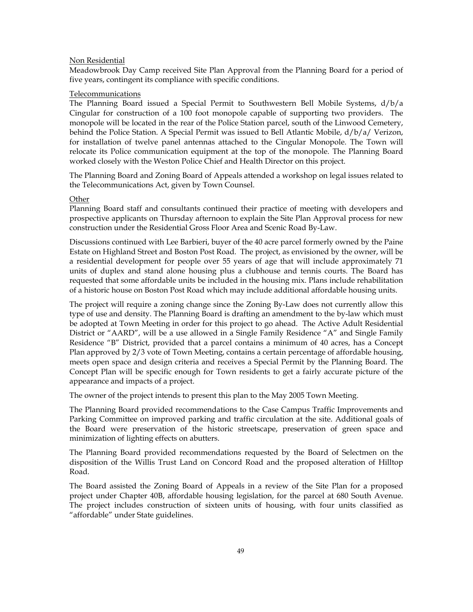### Non Residential

Meadowbrook Day Camp received Site Plan Approval from the Planning Board for a period of five years, contingent its compliance with specific conditions.

## Telecommunications

The Planning Board issued a Special Permit to Southwestern Bell Mobile Systems, d/b/a Cingular for construction of a 100 foot monopole capable of supporting two providers. The monopole will be located in the rear of the Police Station parcel, south of the Linwood Cemetery, behind the Police Station. A Special Permit was issued to Bell Atlantic Mobile, d/b/a/ Verizon, for installation of twelve panel antennas attached to the Cingular Monopole. The Town will relocate its Police communication equipment at the top of the monopole. The Planning Board worked closely with the Weston Police Chief and Health Director on this project.

The Planning Board and Zoning Board of Appeals attended a workshop on legal issues related to the Telecommunications Act, given by Town Counsel.

### **Other**

Planning Board staff and consultants continued their practice of meeting with developers and prospective applicants on Thursday afternoon to explain the Site Plan Approval process for new construction under the Residential Gross Floor Area and Scenic Road By-Law.

Discussions continued with Lee Barbieri, buyer of the 40 acre parcel formerly owned by the Paine Estate on Highland Street and Boston Post Road. The project, as envisioned by the owner, will be a residential development for people over 55 years of age that will include approximately 71 units of duplex and stand alone housing plus a clubhouse and tennis courts. The Board has requested that some affordable units be included in the housing mix. Plans include rehabilitation of a historic house on Boston Post Road which may include additional affordable housing units.

The project will require a zoning change since the Zoning By-Law does not currently allow this type of use and density. The Planning Board is drafting an amendment to the by-law which must be adopted at Town Meeting in order for this project to go ahead. The Active Adult Residential District or "AARD", will be a use allowed in a Single Family Residence "A" and Single Family Residence "B" District, provided that a parcel contains a minimum of 40 acres, has a Concept Plan approved by 2/3 vote of Town Meeting, contains a certain percentage of affordable housing, meets open space and design criteria and receives a Special Permit by the Planning Board. The Concept Plan will be specific enough for Town residents to get a fairly accurate picture of the appearance and impacts of a project.

The owner of the project intends to present this plan to the May 2005 Town Meeting.

The Planning Board provided recommendations to the Case Campus Traffic Improvements and Parking Committee on improved parking and traffic circulation at the site. Additional goals of the Board were preservation of the historic streetscape, preservation of green space and minimization of lighting effects on abutters.

The Planning Board provided recommendations requested by the Board of Selectmen on the disposition of the Willis Trust Land on Concord Road and the proposed alteration of Hilltop Road.

The Board assisted the Zoning Board of Appeals in a review of the Site Plan for a proposed project under Chapter 40B, affordable housing legislation, for the parcel at 680 South Avenue. The project includes construction of sixteen units of housing, with four units classified as "affordable" under State guidelines.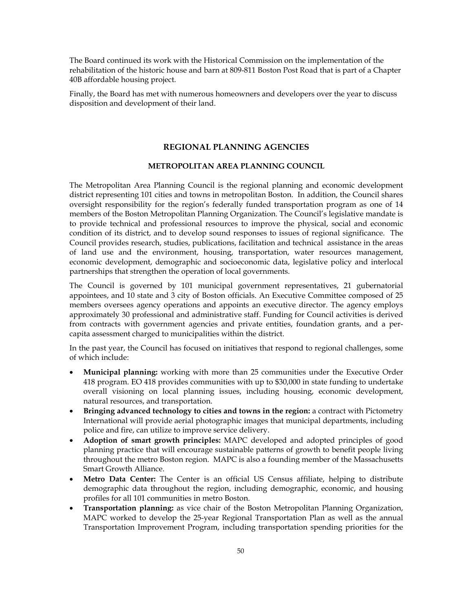The Board continued its work with the Historical Commission on the implementation of the rehabilitation of the historic house and barn at 809-811 Boston Post Road that is part of a Chapter 40B affordable housing project.

Finally, the Board has met with numerous homeowners and developers over the year to discuss disposition and development of their land.

## **REGIONAL PLANNING AGENCIES**

## **METROPOLITAN AREA PLANNING COUNCIL**

The Metropolitan Area Planning Council is the regional planning and economic development district representing 101 cities and towns in metropolitan Boston. In addition, the Council shares oversight responsibility for the region's federally funded transportation program as one of 14 members of the Boston Metropolitan Planning Organization. The Council's legislative mandate is to provide technical and professional resources to improve the physical, social and economic condition of its district, and to develop sound responses to issues of regional significance. The Council provides research, studies, publications, facilitation and technical assistance in the areas of land use and the environment, housing, transportation, water resources management, economic development, demographic and socioeconomic data, legislative policy and interlocal partnerships that strengthen the operation of local governments.

The Council is governed by 101 municipal government representatives, 21 gubernatorial appointees, and 10 state and 3 city of Boston officials. An Executive Committee composed of 25 members oversees agency operations and appoints an executive director. The agency employs approximately 30 professional and administrative staff. Funding for Council activities is derived from contracts with government agencies and private entities, foundation grants, and a percapita assessment charged to municipalities within the district.

In the past year, the Council has focused on initiatives that respond to regional challenges, some of which include:

- **Municipal planning:** working with more than 25 communities under the Executive Order 418 program. EO 418 provides communities with up to \$30,000 in state funding to undertake overall visioning on local planning issues, including housing, economic development, natural resources, and transportation.
- **Bringing advanced technology to cities and towns in the region:** a contract with Pictometry International will provide aerial photographic images that municipal departments, including police and fire, can utilize to improve service delivery.
- **Adoption of smart growth principles:** MAPC developed and adopted principles of good planning practice that will encourage sustainable patterns of growth to benefit people living throughout the metro Boston region. MAPC is also a founding member of the Massachusetts Smart Growth Alliance.
- **Metro Data Center:** The Center is an official US Census affiliate, helping to distribute demographic data throughout the region, including demographic, economic, and housing profiles for all 101 communities in metro Boston.
- **Transportation planning:** as vice chair of the Boston Metropolitan Planning Organization, MAPC worked to develop the 25-year Regional Transportation Plan as well as the annual Transportation Improvement Program, including transportation spending priorities for the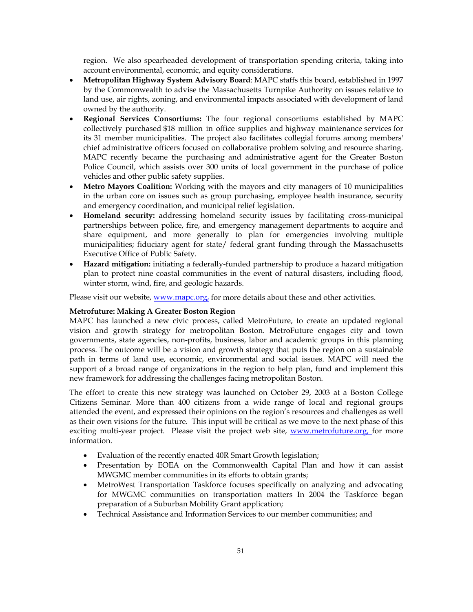region. We also spearheaded development of transportation spending criteria, taking into account environmental, economic, and equity considerations.

- **Metropolitan Highway System Advisory Board**: MAPC staffs this board, established in 1997 by the Commonwealth to advise the Massachusetts Turnpike Authority on issues relative to land use, air rights, zoning, and environmental impacts associated with development of land owned by the authority.
- **Regional Services Consortiums:** The four regional consortiums established by MAPC collectively purchased \$18 million in office supplies and highway maintenance services for its 31 member municipalities. The project also facilitates collegial forums among members' chief administrative officers focused on collaborative problem solving and resource sharing. MAPC recently became the purchasing and administrative agent for the Greater Boston Police Council, which assists over 300 units of local government in the purchase of police vehicles and other public safety supplies.
- **Metro Mayors Coalition:** Working with the mayors and city managers of 10 municipalities in the urban core on issues such as group purchasing, employee health insurance, security and emergency coordination, and municipal relief legislation.
- **Homeland security:** addressing homeland security issues by facilitating cross-municipal partnerships between police, fire, and emergency management departments to acquire and share equipment, and more generally to plan for emergencies involving multiple municipalities; fiduciary agent for state/ federal grant funding through the Massachusetts Executive Office of Public Safety.
- **Hazard mitigation:** initiating a federally-funded partnership to produce a hazard mitigation plan to protect nine coastal communities in the event of natural disasters, including flood, winter storm, wind, fire, and geologic hazards.

Please visit our website, www.mapc.org, for more details about these and other activities.

## **Metrofuture: Making A Greater Boston Region**

MAPC has launched a new civic process, called MetroFuture, to create an updated regional vision and growth strategy for metropolitan Boston. MetroFuture engages city and town governments, state agencies, non-profits, business, labor and academic groups in this planning process. The outcome will be a vision and growth strategy that puts the region on a sustainable path in terms of land use, economic, environmental and social issues. MAPC will need the support of a broad range of organizations in the region to help plan, fund and implement this new framework for addressing the challenges facing metropolitan Boston.

The effort to create this new strategy was launched on October 29, 2003 at a Boston College Citizens Seminar. More than 400 citizens from a wide range of local and regional groups attended the event, and expressed their opinions on the region's resources and challenges as well as their own visions for the future. This input will be critical as we move to the next phase of this exciting multi-year project. Please visit the project web site, www.metrofuture.org, for more information.

- Evaluation of the recently enacted 40R Smart Growth legislation;
- Presentation by EOEA on the Commonwealth Capital Plan and how it can assist MWGMC member communities in its efforts to obtain grants;
- MetroWest Transportation Taskforce focuses specifically on analyzing and advocating for MWGMC communities on transportation matters In 2004 the Taskforce began preparation of a Suburban Mobility Grant application;
- Technical Assistance and Information Services to our member communities; and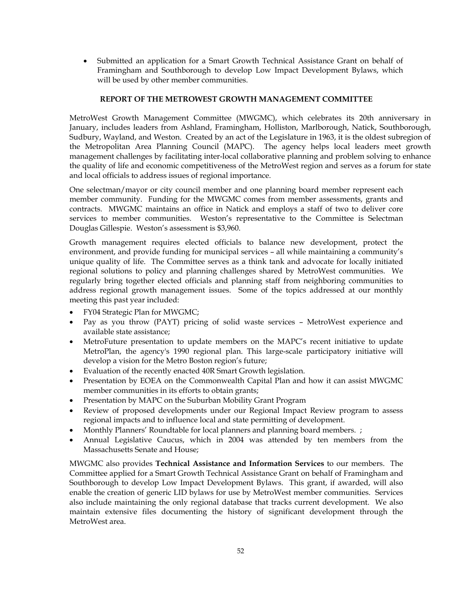• Submitted an application for a Smart Growth Technical Assistance Grant on behalf of Framingham and Southborough to develop Low Impact Development Bylaws, which will be used by other member communities.

## **REPORT OF THE METROWEST GROWTH MANAGEMENT COMMITTEE**

MetroWest Growth Management Committee (MWGMC), which celebrates its 20th anniversary in January, includes leaders from Ashland, Framingham, Holliston, Marlborough, Natick, Southborough, Sudbury, Wayland, and Weston. Created by an act of the Legislature in 1963, it is the oldest subregion of the Metropolitan Area Planning Council (MAPC). The agency helps local leaders meet growth management challenges by facilitating inter-local collaborative planning and problem solving to enhance the quality of life and economic competitiveness of the MetroWest region and serves as a forum for state and local officials to address issues of regional importance.

One selectman/mayor or city council member and one planning board member represent each member community. Funding for the MWGMC comes from member assessments, grants and contracts. MWGMC maintains an office in Natick and employs a staff of two to deliver core services to member communities. Weston's representative to the Committee is Selectman Douglas Gillespie. Weston's assessment is \$3,960.

Growth management requires elected officials to balance new development, protect the environment, and provide funding for municipal services – all while maintaining a community's unique quality of life. The Committee serves as a think tank and advocate for locally initiated regional solutions to policy and planning challenges shared by MetroWest communities. We regularly bring together elected officials and planning staff from neighboring communities to address regional growth management issues. Some of the topics addressed at our monthly meeting this past year included:

- FY04 Strategic Plan for MWGMC;
- Pay as you throw (PAYT) pricing of solid waste services MetroWest experience and available state assistance;
- MetroFuture presentation to update members on the MAPC's recent initiative to update MetroPlan, the agency's 1990 regional plan. This large-scale participatory initiative will develop a vision for the Metro Boston region's future;
- Evaluation of the recently enacted 40R Smart Growth legislation.
- Presentation by EOEA on the Commonwealth Capital Plan and how it can assist MWGMC member communities in its efforts to obtain grants;
- Presentation by MAPC on the Suburban Mobility Grant Program
- Review of proposed developments under our Regional Impact Review program to assess regional impacts and to influence local and state permitting of development.
- Monthly Planners' Roundtable for local planners and planning board members. ;
- Annual Legislative Caucus, which in 2004 was attended by ten members from the Massachusetts Senate and House;

MWGMC also provides **Technical Assistance and Information Services** to our members. The Committee applied for a Smart Growth Technical Assistance Grant on behalf of Framingham and Southborough to develop Low Impact Development Bylaws. This grant, if awarded, will also enable the creation of generic LID bylaws for use by MetroWest member communities. Services also include maintaining the only regional database that tracks current development. We also maintain extensive files documenting the history of significant development through the MetroWest area.